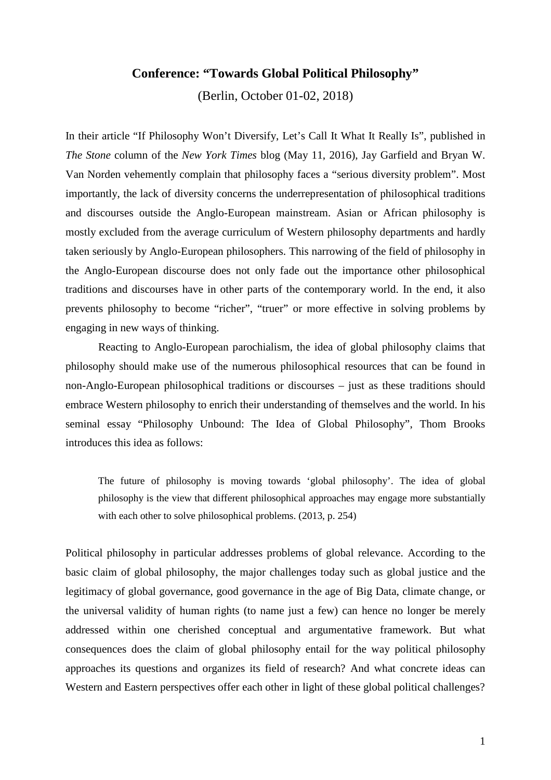## **Conference: "Towards Global Political Philosophy"**

(Berlin, October 01-02, 2018)

In their article "If Philosophy Won't Diversify, Let's Call It What It Really Is", published in *The Stone* column of the *New York Times* blog (May 11, 2016), Jay Garfield and Bryan W. Van Norden vehemently complain that philosophy faces a "serious diversity problem". Most importantly, the lack of diversity concerns the underrepresentation of philosophical traditions and discourses outside the Anglo-European mainstream. Asian or African philosophy is mostly excluded from the average curriculum of Western philosophy departments and hardly taken seriously by Anglo-European philosophers. This narrowing of the field of philosophy in the Anglo-European discourse does not only fade out the importance other philosophical traditions and discourses have in other parts of the contemporary world. In the end, it also prevents philosophy to become "richer", "truer" or more effective in solving problems by engaging in new ways of thinking.

Reacting to Anglo-European parochialism, the idea of global philosophy claims that philosophy should make use of the numerous philosophical resources that can be found in non-Anglo-European philosophical traditions or discourses – just as these traditions should embrace Western philosophy to enrich their understanding of themselves and the world. In his seminal essay "Philosophy Unbound: The Idea of Global Philosophy", Thom Brooks introduces this idea as follows:

The future of philosophy is moving towards 'global philosophy'. The idea of global philosophy is the view that different philosophical approaches may engage more substantially with each other to solve philosophical problems. (2013, p. 254)

Political philosophy in particular addresses problems of global relevance. According to the basic claim of global philosophy, the major challenges today such as global justice and the legitimacy of global governance, good governance in the age of Big Data, climate change, or the universal validity of human rights (to name just a few) can hence no longer be merely addressed within one cherished conceptual and argumentative framework. But what consequences does the claim of global philosophy entail for the way political philosophy approaches its questions and organizes its field of research? And what concrete ideas can Western and Eastern perspectives offer each other in light of these global political challenges?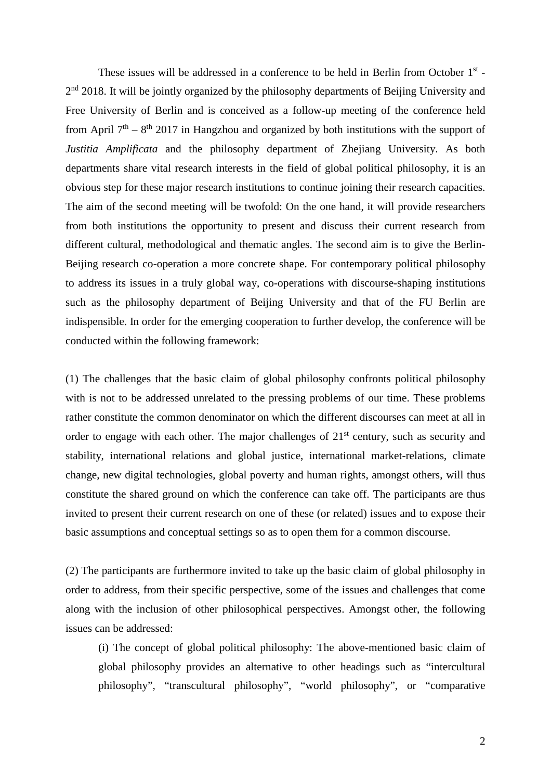These issues will be addressed in a conference to be held in Berlin from October 1<sup>st</sup> - $2<sup>nd</sup>$  2018. It will be jointly organized by the philosophy departments of Beijing University and Free University of Berlin and is conceived as a follow-up meeting of the conference held from April  $7<sup>th</sup> - 8<sup>th</sup>$  2017 in Hangzhou and organized by both institutions with the support of *Justitia Amplificata* and the philosophy department of Zhejiang University. As both departments share vital research interests in the field of global political philosophy, it is an obvious step for these major research institutions to continue joining their research capacities. The aim of the second meeting will be twofold: On the one hand, it will provide researchers from both institutions the opportunity to present and discuss their current research from different cultural, methodological and thematic angles. The second aim is to give the Berlin-Beijing research co-operation a more concrete shape. For contemporary political philosophy to address its issues in a truly global way, co-operations with discourse-shaping institutions such as the philosophy department of Beijing University and that of the FU Berlin are indispensible. In order for the emerging cooperation to further develop, the conference will be conducted within the following framework:

(1) The challenges that the basic claim of global philosophy confronts political philosophy with is not to be addressed unrelated to the pressing problems of our time. These problems rather constitute the common denominator on which the different discourses can meet at all in order to engage with each other. The major challenges of  $21<sup>st</sup>$  century, such as security and stability, international relations and global justice, international market-relations, climate change, new digital technologies, global poverty and human rights, amongst others, will thus constitute the shared ground on which the conference can take off. The participants are thus invited to present their current research on one of these (or related) issues and to expose their basic assumptions and conceptual settings so as to open them for a common discourse.

(2) The participants are furthermore invited to take up the basic claim of global philosophy in order to address, from their specific perspective, some of the issues and challenges that come along with the inclusion of other philosophical perspectives. Amongst other, the following issues can be addressed:

(i) The concept of global political philosophy: The above-mentioned basic claim of global philosophy provides an alternative to other headings such as "intercultural philosophy", "transcultural philosophy", "world philosophy", or "comparative